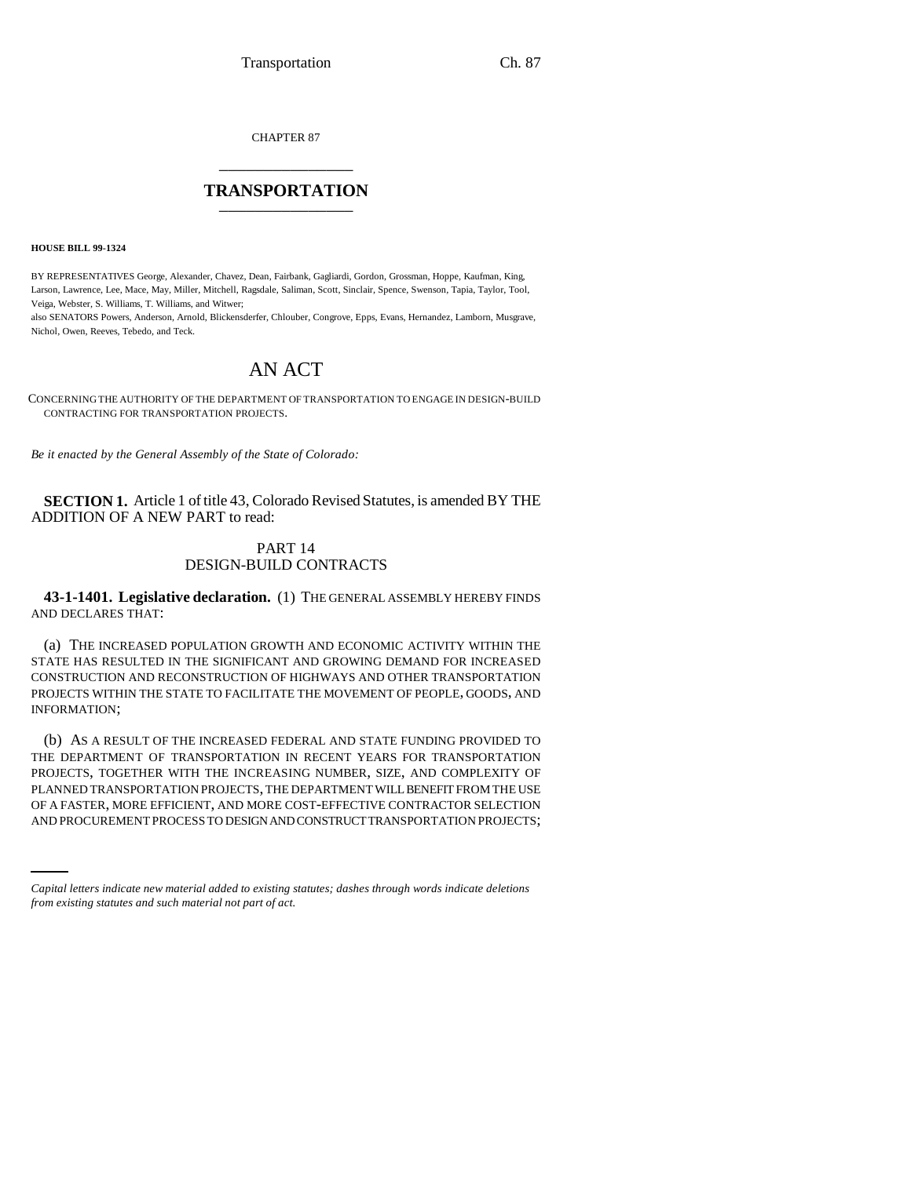CHAPTER 87 \_\_\_\_\_\_\_\_\_\_\_\_\_\_\_

## **TRANSPORTATION** \_\_\_\_\_\_\_\_\_\_\_\_\_\_\_

**HOUSE BILL 99-1324** 

BY REPRESENTATIVES George, Alexander, Chavez, Dean, Fairbank, Gagliardi, Gordon, Grossman, Hoppe, Kaufman, King, Larson, Lawrence, Lee, Mace, May, Miller, Mitchell, Ragsdale, Saliman, Scott, Sinclair, Spence, Swenson, Tapia, Taylor, Tool, Veiga, Webster, S. Williams, T. Williams, and Witwer;

also SENATORS Powers, Anderson, Arnold, Blickensderfer, Chlouber, Congrove, Epps, Evans, Hernandez, Lamborn, Musgrave, Nichol, Owen, Reeves, Tebedo, and Teck.

# AN ACT

CONCERNING THE AUTHORITY OF THE DEPARTMENT OF TRANSPORTATION TO ENGAGE IN DESIGN-BUILD CONTRACTING FOR TRANSPORTATION PROJECTS.

*Be it enacted by the General Assembly of the State of Colorado:*

**SECTION 1.** Article 1 of title 43, Colorado Revised Statutes, is amended BY THE ADDITION OF A NEW PART to read:

### PART 14 DESIGN-BUILD CONTRACTS

**43-1-1401. Legislative declaration.** (1) THE GENERAL ASSEMBLY HEREBY FINDS AND DECLARES THAT:

(a) THE INCREASED POPULATION GROWTH AND ECONOMIC ACTIVITY WITHIN THE STATE HAS RESULTED IN THE SIGNIFICANT AND GROWING DEMAND FOR INCREASED CONSTRUCTION AND RECONSTRUCTION OF HIGHWAYS AND OTHER TRANSPORTATION PROJECTS WITHIN THE STATE TO FACILITATE THE MOVEMENT OF PEOPLE, GOODS, AND INFORMATION;

PLANNED TRANSPORTATION PROJECTS, THE DEPARTMENT WILL BENEFIT FROM THE USE<br>OF A FASTER MORE EFFICIENT, AND MORE COST, EFFECTIVE CONTRACTOR SELECTION (b) AS A RESULT OF THE INCREASED FEDERAL AND STATE FUNDING PROVIDED TO THE DEPARTMENT OF TRANSPORTATION IN RECENT YEARS FOR TRANSPORTATION PROJECTS, TOGETHER WITH THE INCREASING NUMBER, SIZE, AND COMPLEXITY OF OF A FASTER, MORE EFFICIENT, AND MORE COST-EFFECTIVE CONTRACTOR SELECTION AND PROCUREMENT PROCESS TO DESIGN AND CONSTRUCT TRANSPORTATION PROJECTS;

*Capital letters indicate new material added to existing statutes; dashes through words indicate deletions from existing statutes and such material not part of act.*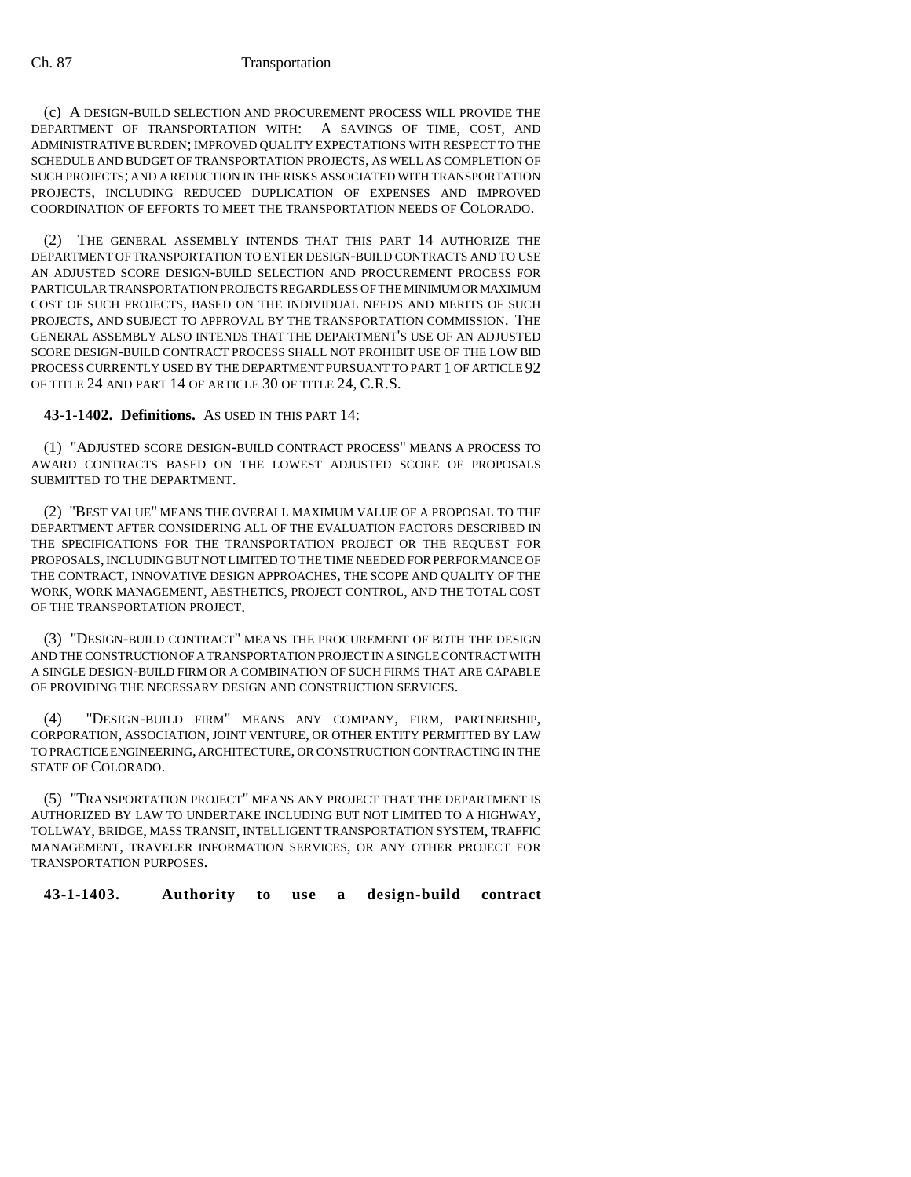#### Ch. 87 Transportation

(c) A DESIGN-BUILD SELECTION AND PROCUREMENT PROCESS WILL PROVIDE THE DEPARTMENT OF TRANSPORTATION WITH: A SAVINGS OF TIME, COST, AND ADMINISTRATIVE BURDEN; IMPROVED QUALITY EXPECTATIONS WITH RESPECT TO THE SCHEDULE AND BUDGET OF TRANSPORTATION PROJECTS, AS WELL AS COMPLETION OF SUCH PROJECTS; AND A REDUCTION IN THE RISKS ASSOCIATED WITH TRANSPORTATION PROJECTS, INCLUDING REDUCED DUPLICATION OF EXPENSES AND IMPROVED COORDINATION OF EFFORTS TO MEET THE TRANSPORTATION NEEDS OF COLORADO.

(2) THE GENERAL ASSEMBLY INTENDS THAT THIS PART 14 AUTHORIZE THE DEPARTMENT OF TRANSPORTATION TO ENTER DESIGN-BUILD CONTRACTS AND TO USE AN ADJUSTED SCORE DESIGN-BUILD SELECTION AND PROCUREMENT PROCESS FOR PARTICULAR TRANSPORTATION PROJECTS REGARDLESS OF THE MINIMUM OR MAXIMUM COST OF SUCH PROJECTS, BASED ON THE INDIVIDUAL NEEDS AND MERITS OF SUCH PROJECTS, AND SUBJECT TO APPROVAL BY THE TRANSPORTATION COMMISSION. THE GENERAL ASSEMBLY ALSO INTENDS THAT THE DEPARTMENT'S USE OF AN ADJUSTED SCORE DESIGN-BUILD CONTRACT PROCESS SHALL NOT PROHIBIT USE OF THE LOW BID PROCESS CURRENTLY USED BY THE DEPARTMENT PURSUANT TO PART 1 OF ARTICLE 92 OF TITLE 24 AND PART 14 OF ARTICLE 30 OF TITLE 24, C.R.S.

## **43-1-1402. Definitions.** AS USED IN THIS PART 14:

(1) "ADJUSTED SCORE DESIGN-BUILD CONTRACT PROCESS" MEANS A PROCESS TO AWARD CONTRACTS BASED ON THE LOWEST ADJUSTED SCORE OF PROPOSALS SUBMITTED TO THE DEPARTMENT.

(2) "BEST VALUE" MEANS THE OVERALL MAXIMUM VALUE OF A PROPOSAL TO THE DEPARTMENT AFTER CONSIDERING ALL OF THE EVALUATION FACTORS DESCRIBED IN THE SPECIFICATIONS FOR THE TRANSPORTATION PROJECT OR THE REQUEST FOR PROPOSALS, INCLUDING BUT NOT LIMITED TO THE TIME NEEDED FOR PERFORMANCE OF THE CONTRACT, INNOVATIVE DESIGN APPROACHES, THE SCOPE AND QUALITY OF THE WORK, WORK MANAGEMENT, AESTHETICS, PROJECT CONTROL, AND THE TOTAL COST OF THE TRANSPORTATION PROJECT.

(3) "DESIGN-BUILD CONTRACT" MEANS THE PROCUREMENT OF BOTH THE DESIGN AND THE CONSTRUCTION OF A TRANSPORTATION PROJECT IN A SINGLE CONTRACT WITH A SINGLE DESIGN-BUILD FIRM OR A COMBINATION OF SUCH FIRMS THAT ARE CAPABLE OF PROVIDING THE NECESSARY DESIGN AND CONSTRUCTION SERVICES.

(4) "DESIGN-BUILD FIRM" MEANS ANY COMPANY, FIRM, PARTNERSHIP, CORPORATION, ASSOCIATION, JOINT VENTURE, OR OTHER ENTITY PERMITTED BY LAW TO PRACTICE ENGINEERING, ARCHITECTURE, OR CONSTRUCTION CONTRACTING IN THE STATE OF COLORADO.

(5) "TRANSPORTATION PROJECT" MEANS ANY PROJECT THAT THE DEPARTMENT IS AUTHORIZED BY LAW TO UNDERTAKE INCLUDING BUT NOT LIMITED TO A HIGHWAY, TOLLWAY, BRIDGE, MASS TRANSIT, INTELLIGENT TRANSPORTATION SYSTEM, TRAFFIC MANAGEMENT, TRAVELER INFORMATION SERVICES, OR ANY OTHER PROJECT FOR TRANSPORTATION PURPOSES.

**43-1-1403. Authority to use a design-build contract**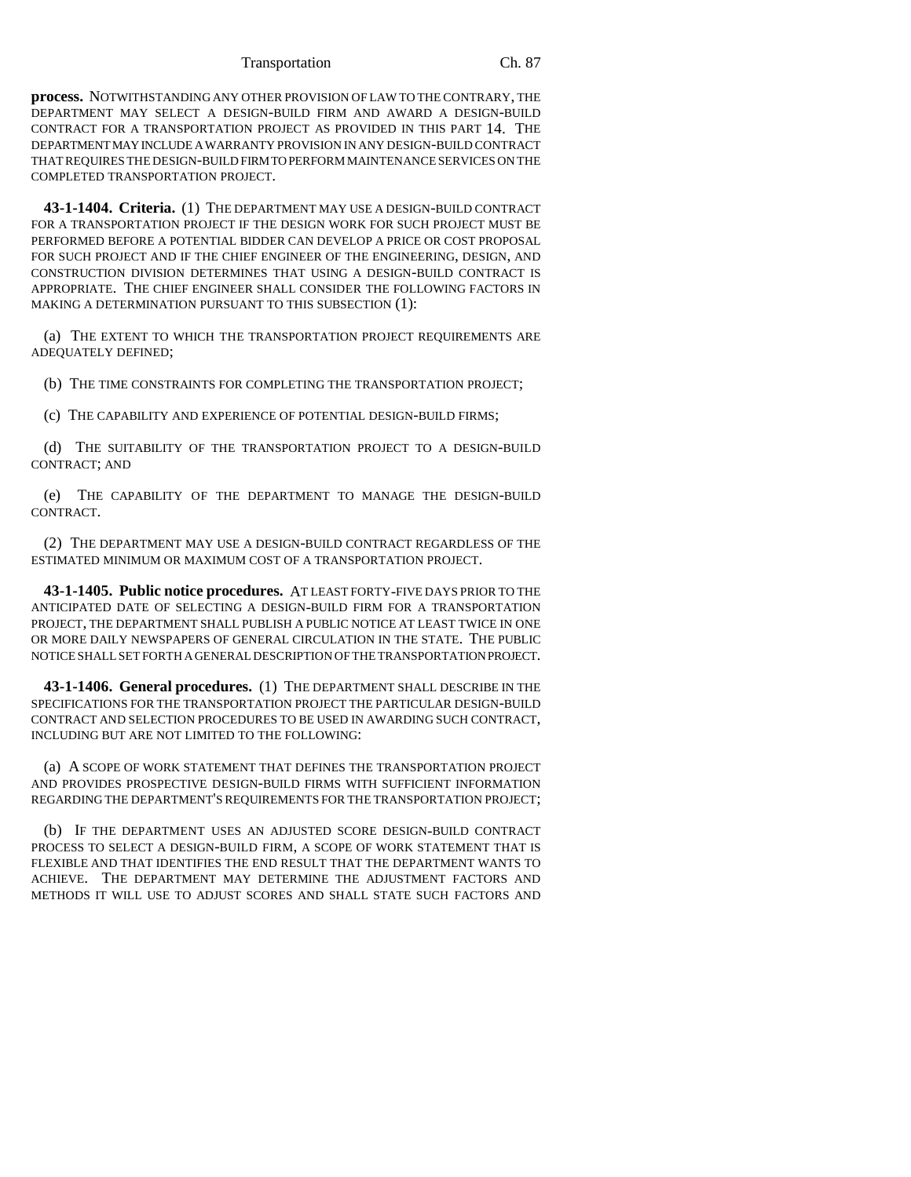Transportation Ch. 87

**process.** NOTWITHSTANDING ANY OTHER PROVISION OF LAW TO THE CONTRARY, THE DEPARTMENT MAY SELECT A DESIGN-BUILD FIRM AND AWARD A DESIGN-BUILD CONTRACT FOR A TRANSPORTATION PROJECT AS PROVIDED IN THIS PART 14. THE DEPARTMENT MAY INCLUDE A WARRANTY PROVISION IN ANY DESIGN-BUILD CONTRACT THAT REQUIRES THE DESIGN-BUILD FIRM TO PERFORM MAINTENANCE SERVICES ON THE COMPLETED TRANSPORTATION PROJECT.

**43-1-1404. Criteria.** (1) THE DEPARTMENT MAY USE A DESIGN-BUILD CONTRACT FOR A TRANSPORTATION PROJECT IF THE DESIGN WORK FOR SUCH PROJECT MUST BE PERFORMED BEFORE A POTENTIAL BIDDER CAN DEVELOP A PRICE OR COST PROPOSAL FOR SUCH PROJECT AND IF THE CHIEF ENGINEER OF THE ENGINEERING, DESIGN, AND CONSTRUCTION DIVISION DETERMINES THAT USING A DESIGN-BUILD CONTRACT IS APPROPRIATE. THE CHIEF ENGINEER SHALL CONSIDER THE FOLLOWING FACTORS IN MAKING A DETERMINATION PURSUANT TO THIS SUBSECTION (1):

(a) THE EXTENT TO WHICH THE TRANSPORTATION PROJECT REQUIREMENTS ARE ADEQUATELY DEFINED;

(b) THE TIME CONSTRAINTS FOR COMPLETING THE TRANSPORTATION PROJECT;

(c) THE CAPABILITY AND EXPERIENCE OF POTENTIAL DESIGN-BUILD FIRMS;

(d) THE SUITABILITY OF THE TRANSPORTATION PROJECT TO A DESIGN-BUILD CONTRACT; AND

(e) THE CAPABILITY OF THE DEPARTMENT TO MANAGE THE DESIGN-BUILD CONTRACT.

(2) THE DEPARTMENT MAY USE A DESIGN-BUILD CONTRACT REGARDLESS OF THE ESTIMATED MINIMUM OR MAXIMUM COST OF A TRANSPORTATION PROJECT.

**43-1-1405. Public notice procedures.** AT LEAST FORTY-FIVE DAYS PRIOR TO THE ANTICIPATED DATE OF SELECTING A DESIGN-BUILD FIRM FOR A TRANSPORTATION PROJECT, THE DEPARTMENT SHALL PUBLISH A PUBLIC NOTICE AT LEAST TWICE IN ONE OR MORE DAILY NEWSPAPERS OF GENERAL CIRCULATION IN THE STATE. THE PUBLIC NOTICE SHALL SET FORTH A GENERAL DESCRIPTION OF THE TRANSPORTATION PROJECT.

**43-1-1406. General procedures.** (1) THE DEPARTMENT SHALL DESCRIBE IN THE SPECIFICATIONS FOR THE TRANSPORTATION PROJECT THE PARTICULAR DESIGN-BUILD CONTRACT AND SELECTION PROCEDURES TO BE USED IN AWARDING SUCH CONTRACT, INCLUDING BUT ARE NOT LIMITED TO THE FOLLOWING:

(a) A SCOPE OF WORK STATEMENT THAT DEFINES THE TRANSPORTATION PROJECT AND PROVIDES PROSPECTIVE DESIGN-BUILD FIRMS WITH SUFFICIENT INFORMATION REGARDING THE DEPARTMENT'S REQUIREMENTS FOR THE TRANSPORTATION PROJECT;

(b) IF THE DEPARTMENT USES AN ADJUSTED SCORE DESIGN-BUILD CONTRACT PROCESS TO SELECT A DESIGN-BUILD FIRM, A SCOPE OF WORK STATEMENT THAT IS FLEXIBLE AND THAT IDENTIFIES THE END RESULT THAT THE DEPARTMENT WANTS TO ACHIEVE. THE DEPARTMENT MAY DETERMINE THE ADJUSTMENT FACTORS AND METHODS IT WILL USE TO ADJUST SCORES AND SHALL STATE SUCH FACTORS AND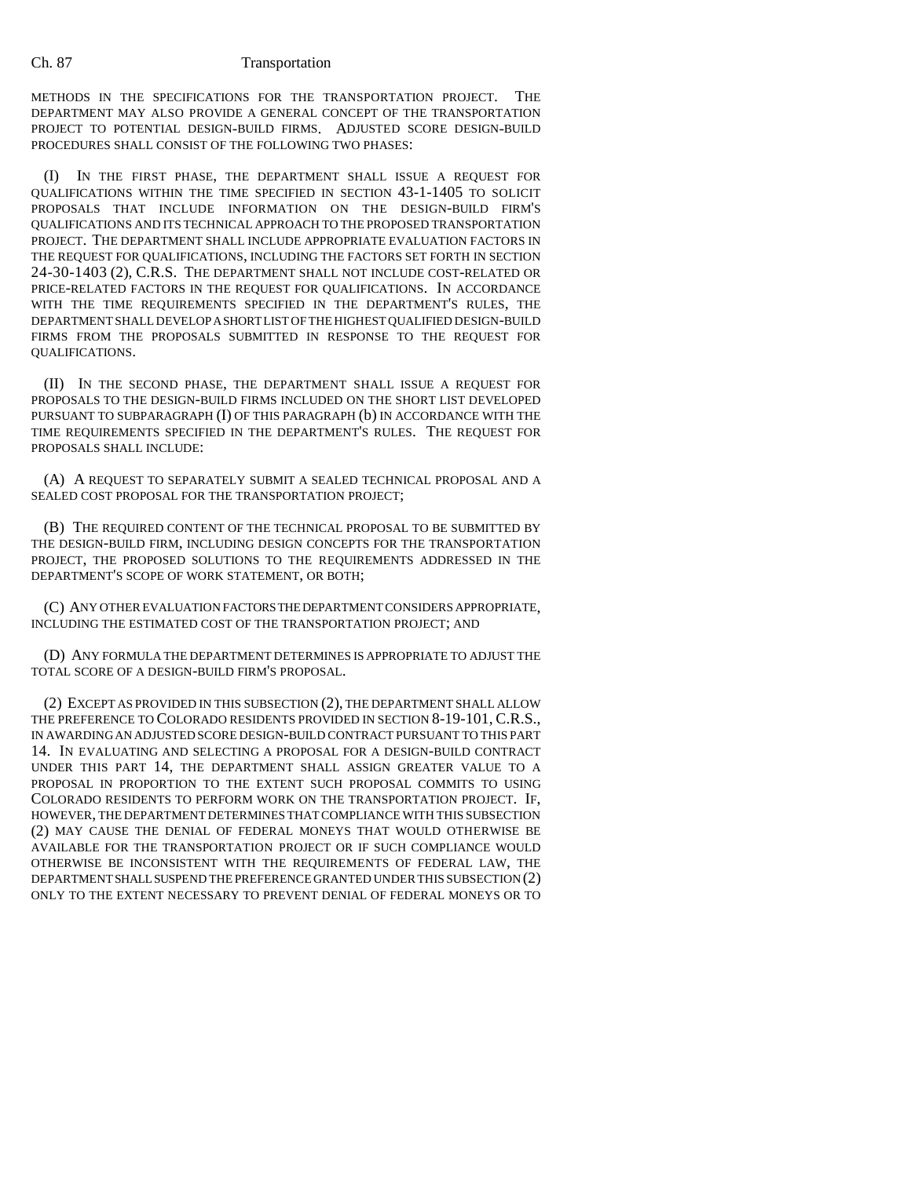#### Ch. 87 Transportation

METHODS IN THE SPECIFICATIONS FOR THE TRANSPORTATION PROJECT. THE DEPARTMENT MAY ALSO PROVIDE A GENERAL CONCEPT OF THE TRANSPORTATION PROJECT TO POTENTIAL DESIGN-BUILD FIRMS. ADJUSTED SCORE DESIGN-BUILD PROCEDURES SHALL CONSIST OF THE FOLLOWING TWO PHASES:

(I) IN THE FIRST PHASE, THE DEPARTMENT SHALL ISSUE A REQUEST FOR QUALIFICATIONS WITHIN THE TIME SPECIFIED IN SECTION 43-1-1405 TO SOLICIT PROPOSALS THAT INCLUDE INFORMATION ON THE DESIGN-BUILD FIRM'S QUALIFICATIONS AND ITS TECHNICAL APPROACH TO THE PROPOSED TRANSPORTATION PROJECT. THE DEPARTMENT SHALL INCLUDE APPROPRIATE EVALUATION FACTORS IN THE REQUEST FOR QUALIFICATIONS, INCLUDING THE FACTORS SET FORTH IN SECTION 24-30-1403 (2), C.R.S. THE DEPARTMENT SHALL NOT INCLUDE COST-RELATED OR PRICE-RELATED FACTORS IN THE REQUEST FOR QUALIFICATIONS. IN ACCORDANCE WITH THE TIME REQUIREMENTS SPECIFIED IN THE DEPARTMENT'S RULES, THE DEPARTMENT SHALL DEVELOP A SHORT LIST OF THE HIGHEST QUALIFIED DESIGN-BUILD FIRMS FROM THE PROPOSALS SUBMITTED IN RESPONSE TO THE REQUEST FOR QUALIFICATIONS.

(II) IN THE SECOND PHASE, THE DEPARTMENT SHALL ISSUE A REQUEST FOR PROPOSALS TO THE DESIGN-BUILD FIRMS INCLUDED ON THE SHORT LIST DEVELOPED PURSUANT TO SUBPARAGRAPH (I) OF THIS PARAGRAPH (b) IN ACCORDANCE WITH THE TIME REQUIREMENTS SPECIFIED IN THE DEPARTMENT'S RULES. THE REQUEST FOR PROPOSALS SHALL INCLUDE:

(A) A REQUEST TO SEPARATELY SUBMIT A SEALED TECHNICAL PROPOSAL AND A SEALED COST PROPOSAL FOR THE TRANSPORTATION PROJECT;

(B) THE REQUIRED CONTENT OF THE TECHNICAL PROPOSAL TO BE SUBMITTED BY THE DESIGN-BUILD FIRM, INCLUDING DESIGN CONCEPTS FOR THE TRANSPORTATION PROJECT, THE PROPOSED SOLUTIONS TO THE REQUIREMENTS ADDRESSED IN THE DEPARTMENT'S SCOPE OF WORK STATEMENT, OR BOTH;

(C) ANY OTHER EVALUATION FACTORS THE DEPARTMENT CONSIDERS APPROPRIATE, INCLUDING THE ESTIMATED COST OF THE TRANSPORTATION PROJECT; AND

(D) ANY FORMULA THE DEPARTMENT DETERMINES IS APPROPRIATE TO ADJUST THE TOTAL SCORE OF A DESIGN-BUILD FIRM'S PROPOSAL.

(2) EXCEPT AS PROVIDED IN THIS SUBSECTION (2), THE DEPARTMENT SHALL ALLOW THE PREFERENCE TO COLORADO RESIDENTS PROVIDED IN SECTION 8-19-101, C.R.S., IN AWARDING AN ADJUSTED SCORE DESIGN-BUILD CONTRACT PURSUANT TO THIS PART 14. IN EVALUATING AND SELECTING A PROPOSAL FOR A DESIGN-BUILD CONTRACT UNDER THIS PART 14, THE DEPARTMENT SHALL ASSIGN GREATER VALUE TO A PROPOSAL IN PROPORTION TO THE EXTENT SUCH PROPOSAL COMMITS TO USING COLORADO RESIDENTS TO PERFORM WORK ON THE TRANSPORTATION PROJECT. IF, HOWEVER, THE DEPARTMENT DETERMINES THAT COMPLIANCE WITH THIS SUBSECTION (2) MAY CAUSE THE DENIAL OF FEDERAL MONEYS THAT WOULD OTHERWISE BE AVAILABLE FOR THE TRANSPORTATION PROJECT OR IF SUCH COMPLIANCE WOULD OTHERWISE BE INCONSISTENT WITH THE REQUIREMENTS OF FEDERAL LAW, THE DEPARTMENT SHALL SUSPEND THE PREFERENCE GRANTED UNDER THIS SUBSECTION (2) ONLY TO THE EXTENT NECESSARY TO PREVENT DENIAL OF FEDERAL MONEYS OR TO